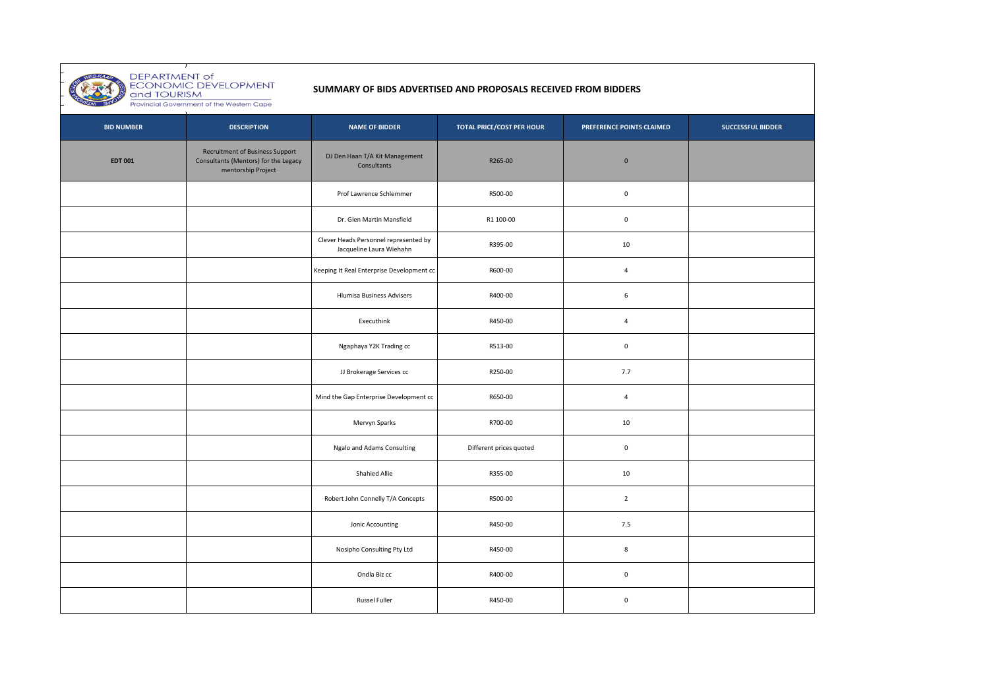

DEPARTMENT of<br>ECONOMIC DEVELOPMENT<br>and TOURISM<br>Provincial Government of the Western Cape

## **SUMMARY OF BIDS ADVERTISED AND PROPOSALS RECEIVED FROM BIDDERS**

| <b>BID NUMBER</b> | <b>DESCRIPTION</b>                                                                                   | <b>NAME OF BIDDER</b>                                             | <b>TOTAL PRICE/COST PER HOUR</b> | PREFERENCE POINTS CLAIMED | <b>SUCCESSFUL BIDDER</b> |
|-------------------|------------------------------------------------------------------------------------------------------|-------------------------------------------------------------------|----------------------------------|---------------------------|--------------------------|
| <b>EDT 001</b>    | <b>Recruitment of Business Support</b><br>Consultants (Mentors) for the Legacy<br>mentorship Project | DJ Den Haan T/A Kit Management<br>Consultants                     | R265-00                          | $\mathbf 0$               |                          |
|                   |                                                                                                      | Prof Lawrence Schlemmer                                           | R500-00                          | $\mathsf 0$               |                          |
|                   |                                                                                                      | Dr. Glen Martin Mansfield                                         | R1 100-00                        | $\mathbf 0$               |                          |
|                   |                                                                                                      | Clever Heads Personnel represented by<br>Jacqueline Laura Wiehahn | R395-00                          | $10\,$                    |                          |
|                   |                                                                                                      | Keeping It Real Enterprise Development cc                         | R600-00                          | $\overline{4}$            |                          |
|                   |                                                                                                      | Hlumisa Business Advisers                                         | R400-00                          | 6                         |                          |
|                   |                                                                                                      | Executhink                                                        | R450-00                          | 4                         |                          |
|                   |                                                                                                      | Ngaphaya Y2K Trading cc                                           | R513-00                          | $\mathbf 0$               |                          |
|                   |                                                                                                      | JJ Brokerage Services cc                                          | R250-00                          | 7.7                       |                          |
|                   |                                                                                                      | Mind the Gap Enterprise Development cc                            | R650-00                          | $\overline{4}$            |                          |
|                   |                                                                                                      | Mervyn Sparks                                                     | R700-00                          | 10                        |                          |
|                   |                                                                                                      | Ngalo and Adams Consulting                                        | Different prices quoted          | $\mathbf 0$               |                          |
|                   |                                                                                                      | Shahied Allie                                                     | R355-00                          | $10\,$                    |                          |
|                   |                                                                                                      | Robert John Connelly T/A Concepts                                 | R500-00                          | $\overline{2}$            |                          |
|                   |                                                                                                      | Jonic Accounting                                                  | R450-00                          | 7.5                       |                          |
|                   |                                                                                                      | Nosipho Consulting Pty Ltd                                        | R450-00                          | 8                         |                          |
|                   |                                                                                                      | Ondla Biz cc                                                      | R400-00                          | $\mathbf 0$               |                          |
|                   |                                                                                                      | <b>Russel Fuller</b>                                              | R450-00                          | $\mathbf 0$               |                          |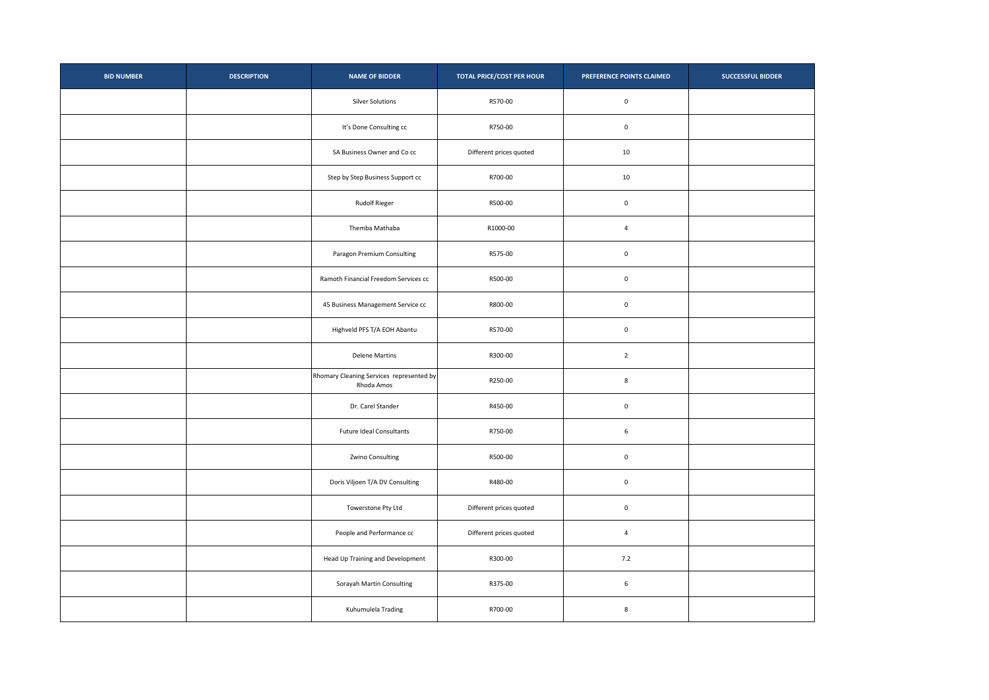| <b>BID NUMBER</b> | <b>DESCRIPTION</b> | <b>NAME OF BIDDER</b>                                  | <b>TOTAL PRICE/COST PER HOUR</b> | PREFERENCE POINTS CLAIMED | <b>SUCCESSFUL BIDDER</b> |
|-------------------|--------------------|--------------------------------------------------------|----------------------------------|---------------------------|--------------------------|
|                   |                    | Silver Solutions                                       | R570-00                          | $\mathbf 0$               |                          |
|                   |                    | It's Done Consulting cc                                | R750-00                          | $\mathbf 0$               |                          |
|                   |                    | SA Business Owner and Co cc                            | Different prices quoted          | 10                        |                          |
|                   |                    | Step by Step Business Support cc                       | R700-00                          | 10                        |                          |
|                   |                    | <b>Rudolf Rieger</b>                                   | R500-00                          | $\mathbf 0$               |                          |
|                   |                    | Themba Mathaba                                         | R1000-00                         | $\overline{a}$            |                          |
|                   |                    | Paragon Premium Consulting                             | R575-00                          | $\mathbf 0$               |                          |
|                   |                    | Ramoth Financial Freedom Services cc                   | R500-00                          | $\mathbf 0$               |                          |
|                   |                    | 45 Business Management Service cc                      | R800-00                          | $\mathbf 0$               |                          |
|                   |                    | Highveld PFS T/A EOH Abantu                            | R570-00                          | $\mathbf 0$               |                          |
|                   |                    | <b>Delene Martins</b>                                  | R300-00                          | $\overline{2}$            |                          |
|                   |                    | Rhomary Cleaning Services represented by<br>Rhoda Amos | R250-00                          | $\bf8$                    |                          |
|                   |                    | Dr. Carel Stander                                      | R450-00                          | $\mathbf 0$               |                          |
|                   |                    | <b>Future Ideal Consultants</b>                        | R750-00                          | $\,$ 6 $\,$               |                          |
|                   |                    | Zwino Consulting                                       | R500-00                          | $\mathbf 0$               |                          |
|                   |                    | Doris Viljoen T/A DV Consulting                        | R480-00                          | $\mathbf 0$               |                          |
|                   |                    | Towerstone Pty Ltd                                     | Different prices quoted          | $\mathbf 0$               |                          |
|                   |                    | People and Performance cc                              | Different prices quoted          | $\sqrt{4}$                |                          |
|                   |                    | Head Up Training and Development                       | R300-00                          | 7.2                       |                          |
|                   |                    | Sorayah Martin Consulting                              | R375-00                          | $\,$ 6 $\,$               |                          |
|                   |                    | Kuhumulela Trading                                     | R700-00                          | 8                         |                          |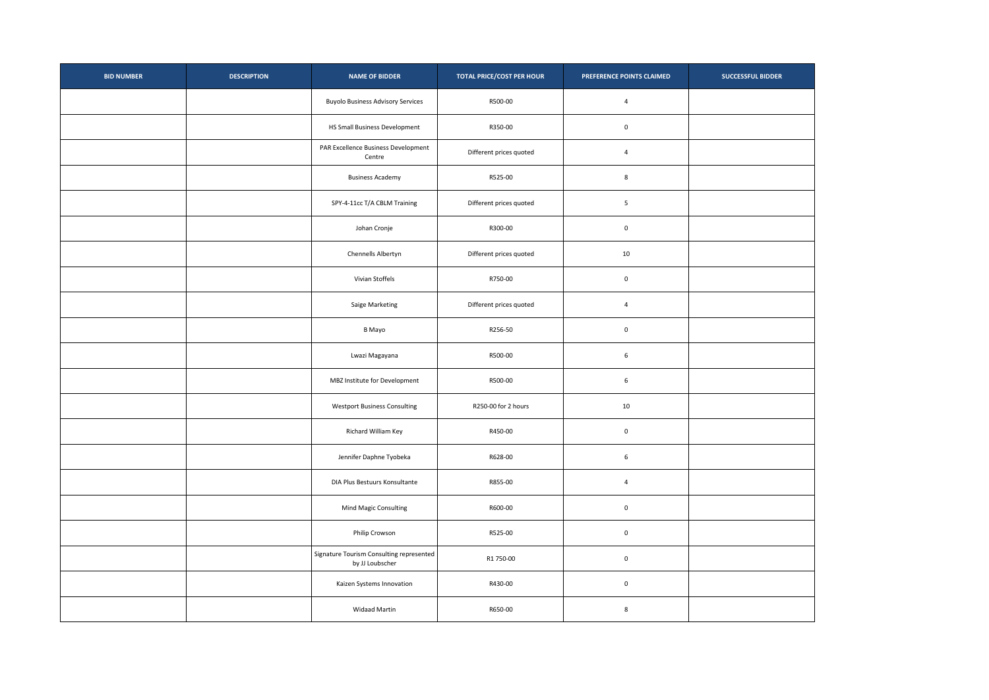| <b>BID NUMBER</b> | <b>DESCRIPTION</b> | <b>NAME OF BIDDER</b>                                       | <b>TOTAL PRICE/COST PER HOUR</b> | PREFERENCE POINTS CLAIMED | <b>SUCCESSFUL BIDDER</b> |
|-------------------|--------------------|-------------------------------------------------------------|----------------------------------|---------------------------|--------------------------|
|                   |                    | <b>Buyolo Business Advisory Services</b>                    | R500-00                          | $\overline{4}$            |                          |
|                   |                    | HS Small Business Development                               | R350-00                          | $\mathbf 0$               |                          |
|                   |                    | PAR Excellence Business Development<br>Centre               | Different prices quoted          | $\overline{4}$            |                          |
|                   |                    | <b>Business Academy</b>                                     | R525-00                          | 8                         |                          |
|                   |                    | SPY-4-11cc T/A CBLM Training                                | Different prices quoted          | $\overline{\phantom{a}}$  |                          |
|                   |                    | Johan Cronje                                                | R300-00                          | $\mathbf 0$               |                          |
|                   |                    | Chennells Albertyn                                          | Different prices quoted          | 10                        |                          |
|                   |                    | Vivian Stoffels                                             | R750-00                          | $\mathbf 0$               |                          |
|                   |                    | Saige Marketing                                             | Different prices quoted          | $\overline{4}$            |                          |
|                   |                    | B Mayo                                                      | R256-50                          | $\mathbf 0$               |                          |
|                   |                    | Lwazi Magayana                                              | R500-00                          | $\,$ 6                    |                          |
|                   |                    | MBZ Institute for Development                               | R500-00                          | $\,$ 6                    |                          |
|                   |                    | <b>Westport Business Consulting</b>                         | R250-00 for 2 hours              | 10                        |                          |
|                   |                    | Richard William Key                                         | R450-00                          | $\mathbf 0$               |                          |
|                   |                    | Jennifer Daphne Tyobeka                                     | R628-00                          | $\,$ 6 $\,$               |                          |
|                   |                    | DIA Plus Bestuurs Konsultante                               | R855-00                          | $\overline{4}$            |                          |
|                   |                    | Mind Magic Consulting                                       | R600-00                          | $\mathbf 0$               |                          |
|                   |                    | Philip Crowson                                              | R525-00                          | $\mathbf 0$               |                          |
|                   |                    | Signature Tourism Consulting represented<br>by JJ Loubscher | R1 750-00                        | $\mathbf 0$               |                          |
|                   |                    | Kaizen Systems Innovation                                   | R430-00                          | $\mathbf 0$               |                          |
|                   |                    | <b>Widaad Martin</b>                                        | R650-00                          | 8                         |                          |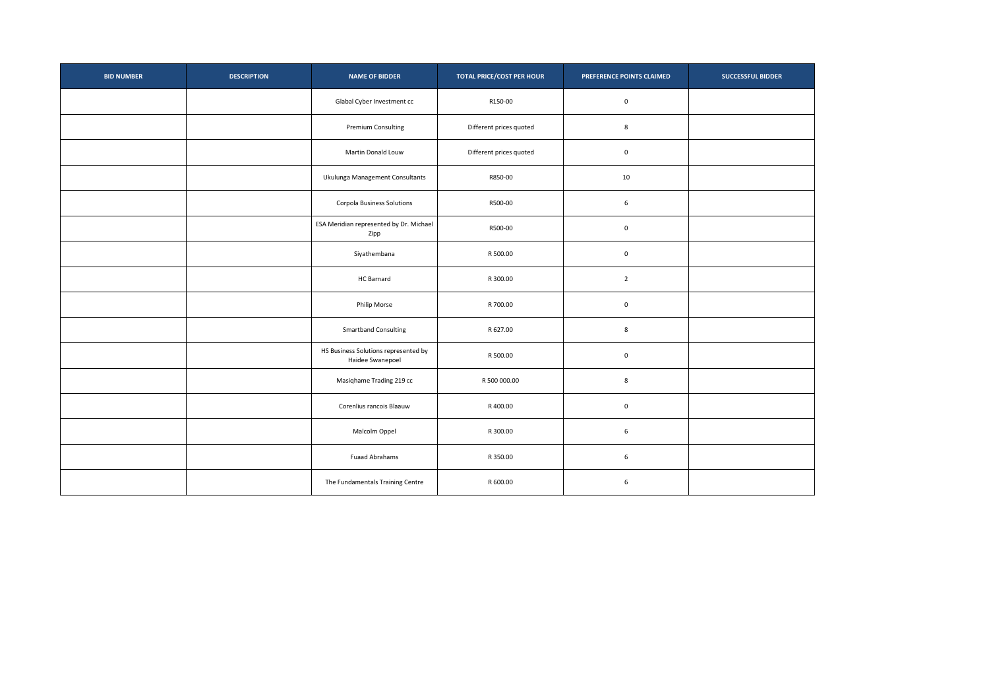| <b>BID NUMBER</b> | <b>DESCRIPTION</b> | <b>NAME OF BIDDER</b>                                    | <b>TOTAL PRICE/COST PER HOUR</b> | PREFERENCE POINTS CLAIMED | <b>SUCCESSFUL BIDDER</b> |
|-------------------|--------------------|----------------------------------------------------------|----------------------------------|---------------------------|--------------------------|
|                   |                    | Glabal Cyber Investment cc                               | R150-00                          | $\mathbf 0$               |                          |
|                   |                    | Premium Consulting                                       | Different prices quoted          | 8                         |                          |
|                   |                    | Martin Donald Louw                                       | Different prices quoted          | $\mathbf 0$               |                          |
|                   |                    | Ukulunga Management Consultants                          | R850-00                          | 10                        |                          |
|                   |                    | <b>Corpola Business Solutions</b>                        | R500-00                          | $\,$ 6                    |                          |
|                   |                    | ESA Meridian represented by Dr. Michael<br>Zipp          | R500-00                          | $\mathbf 0$               |                          |
|                   |                    | Siyathembana                                             | R 500.00                         | $\mathbf 0$               |                          |
|                   |                    | HC Barnard                                               | R 300.00                         | $\overline{2}$            |                          |
|                   |                    | <b>Philip Morse</b>                                      | R 700.00                         | $\mathbf 0$               |                          |
|                   |                    | <b>Smartband Consulting</b>                              | R 627.00                         | 8                         |                          |
|                   |                    | HS Business Solutions represented by<br>Haidee Swanepoel | R 500.00                         | $\mathbf 0$               |                          |
|                   |                    | Masiqhame Trading 219 cc                                 | R 500 000.00                     | 8                         |                          |
|                   |                    | Corenlius rancois Blaauw                                 | R 400.00                         | $\mathbf 0$               |                          |
|                   |                    | Malcolm Oppel                                            | R 300.00                         | $\,$ 6                    |                          |
|                   |                    | <b>Fuaad Abrahams</b>                                    | R 350.00                         | $\,$ 6                    |                          |
|                   |                    | The Fundamentals Training Centre                         | R 600.00                         | $\,$ 6                    |                          |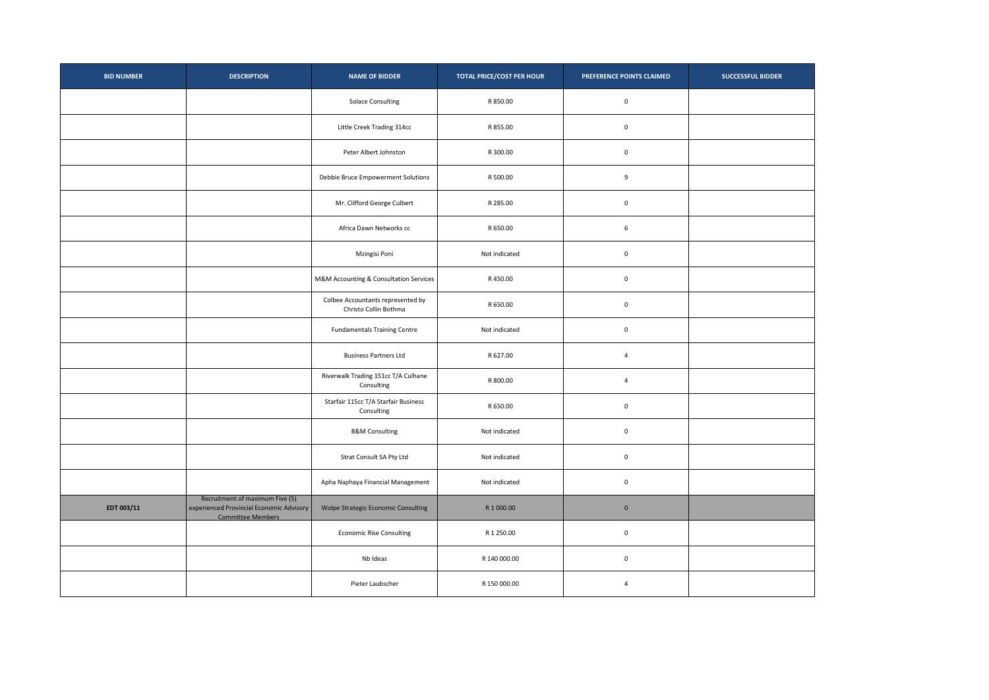| <b>BID NUMBER</b> | <b>DESCRIPTION</b>                                                                                      | <b>NAME OF BIDDER</b>                                      | <b>TOTAL PRICE/COST PER HOUR</b> | PREFERENCE POINTS CLAIMED | <b>SUCCESSFUL BIDDER</b> |
|-------------------|---------------------------------------------------------------------------------------------------------|------------------------------------------------------------|----------------------------------|---------------------------|--------------------------|
|                   |                                                                                                         | <b>Solace Consulting</b>                                   | R 850.00                         | $\mathbf 0$               |                          |
|                   |                                                                                                         | Little Creek Trading 314cc                                 | R 855.00                         | $\mathbf 0$               |                          |
|                   |                                                                                                         | Peter Albert Johnston                                      | R 300.00                         | $\mathbf 0$               |                          |
|                   |                                                                                                         | Debbie Bruce Empowerment Solutions                         | R 500.00                         | $\boldsymbol{9}$          |                          |
|                   |                                                                                                         | Mr. Clifford George Culbert                                | R 285.00                         | $\mathbf 0$               |                          |
|                   |                                                                                                         | Africa Dawn Networks cc                                    | R 650.00                         | $\,$ 6                    |                          |
|                   |                                                                                                         | Mzingisi Poni                                              | Not indicated                    | $\mathbf 0$               |                          |
|                   |                                                                                                         | M&M Accounting & Consultation Services                     | R450.00                          | $\mathbf 0$               |                          |
|                   |                                                                                                         | Colbee Accountants represented by<br>Christo Collin Bothma | R 650.00                         | $\mathbf 0$               |                          |
|                   |                                                                                                         | <b>Fundamentals Training Centre</b>                        | Not indicated                    | $\mathbf 0$               |                          |
|                   |                                                                                                         | <b>Business Partners Ltd</b>                               | R 627.00                         | $\overline{4}$            |                          |
|                   |                                                                                                         | Riverwalk Trading 151cc T/A Culhane<br>Consulting          | R 800.00                         | $\overline{4}$            |                          |
|                   |                                                                                                         | Starfair 115cc T/A Starfair Business<br>Consulting         | R 650.00                         | $\mathbf 0$               |                          |
|                   |                                                                                                         | <b>B&amp;M Consulting</b>                                  | Not indicated                    | $\mathbf 0$               |                          |
|                   |                                                                                                         | Strat Consult SA Pty Ltd                                   | Not indicated                    | $\mathbf 0$               |                          |
|                   |                                                                                                         | Apha Naphaya Financial Management                          | Not indicated                    | $\mathbf 0$               |                          |
| EDT 003/11        | Recruitment of maximum Five (5)<br>experienced Provincial Economic Advisory<br><b>Committee Members</b> | Wolpe Strategic Economic Consulting                        | R 1 000.00                       | $\mathbf 0$               |                          |
|                   |                                                                                                         | <b>Economic Rise Consulting</b>                            | R 1 250.00                       | $\mathbf 0$               |                          |
|                   |                                                                                                         | Nb Ideas                                                   | R 140 000.00                     | $\mathbf 0$               |                          |
|                   |                                                                                                         | Pieter Laubscher                                           | R 150 000.00                     | $\overline{4}$            |                          |